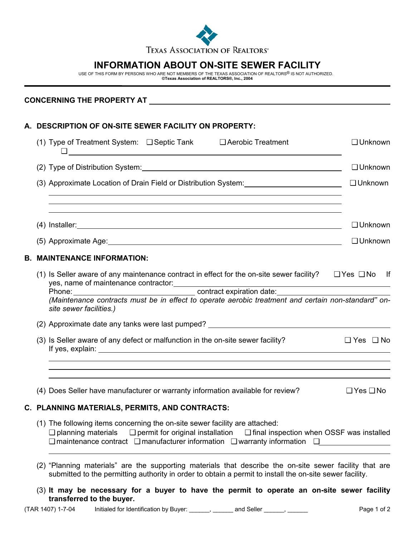

## **INFORMATION ABOUT ON-SITE SEWER FACILITY**

USE OF THIS FORM BY PERSONS WHO ARE NOT MEMBERS OF THE TEXAS ASSOCIATION OF REALTORS® IS NOT AUTHORIZED. **©Texas Association of REALTORS®, Inc., 2004**

 $\overline{a}$ 

## **A. DESCRIPTION OF ON-SITE SEWER FACILITY ON PROPERTY:**

| (1) Type of Treatment System: $\Box$ Septic Tank $\Box$ Aerobic Treatment                                                                                                                                                                                                                                                       | $\Box$ Unknown                                                                    |  |  |  |
|---------------------------------------------------------------------------------------------------------------------------------------------------------------------------------------------------------------------------------------------------------------------------------------------------------------------------------|-----------------------------------------------------------------------------------|--|--|--|
| (2) Type of Distribution System: Manual Community of Distribution System:                                                                                                                                                                                                                                                       | $\Box$ Unknown                                                                    |  |  |  |
| (3) Approximate Location of Drain Field or Distribution System: 1997 1997 1998<br>,我们也不会有什么。""我们的人,我们也不会有什么?""我们的人,我们也不会有什么?""我们的人,我们也不会有什么?""我们的人,我们也不会有什么?""我们的人                                                                                                                                                              | □ Unknown                                                                         |  |  |  |
| ,我们也不会有什么。""我们的人,我们也不会有什么?""我们的人,我们也不会有什么?""我们的人,我们也不会有什么?""我们的人,我们也不会有什么?""我们的人<br>,我们也不会有什么。""我们的人,我们也不会有什么?""我们的人,我们也不会有什么?""我们的人,我们也不会有什么?""我们的人,我们也不会有什么?""我们的人                                                                                                                                                            | $\Box$ Unknown                                                                    |  |  |  |
|                                                                                                                                                                                                                                                                                                                                 | □ Unknown                                                                         |  |  |  |
| <b>B. MAINTENANCE INFORMATION:</b>                                                                                                                                                                                                                                                                                              |                                                                                   |  |  |  |
| (1) Is Seller aware of any maintenance contract in effect for the on-site sewer facility? $\Box$ Yes $\Box$ No If<br>yes, name of maintenance contractor:<br>Phone: contract expiration date:<br>(Maintenance contracts must be in effect to operate aerobic treatment and certain non-standard" on-<br>site sewer facilities.) |                                                                                   |  |  |  |
|                                                                                                                                                                                                                                                                                                                                 |                                                                                   |  |  |  |
| (3) Is Seller aware of any defect or malfunction in the on-site sewer facility?                                                                                                                                                                                                                                                 | $\Box$ Yes $\Box$ No                                                              |  |  |  |
|                                                                                                                                                                                                                                                                                                                                 | ,我们也不会有一个人的人,我们也不会有一个人的人,我们也不会有一个人的人,我们也不会有一个人的人,我们也不会有一个人的人。""我们的人,我们也不会有一个人的人,我 |  |  |  |
| (4) Does Seller have manufacturer or warranty information available for review?                                                                                                                                                                                                                                                 | $\Box$ Yes $\Box$ No                                                              |  |  |  |
| C. PLANNING MATERIALS, PERMITS, AND CONTRACTS:                                                                                                                                                                                                                                                                                  |                                                                                   |  |  |  |
| (1) The following items concerning the on-site sewer facility are attached:<br>$\Box$ planning materials $\Box$ permit for original installation $\Box$ final inspection when OSSF was installed<br>$\Box$ maintenance contract $\Box$ manufacturer information $\Box$ warranty information $\Box$                              |                                                                                   |  |  |  |

- (2) "Planning materials" are the supporting materials that describe the on-site sewer facility that are submitted to the permitting authority in order to obtain a permit to install the on-site sewer facility.
- (3) **It may be necessary for a buyer to have the permit to operate an on-site sewer facility transferred to the buyer.**